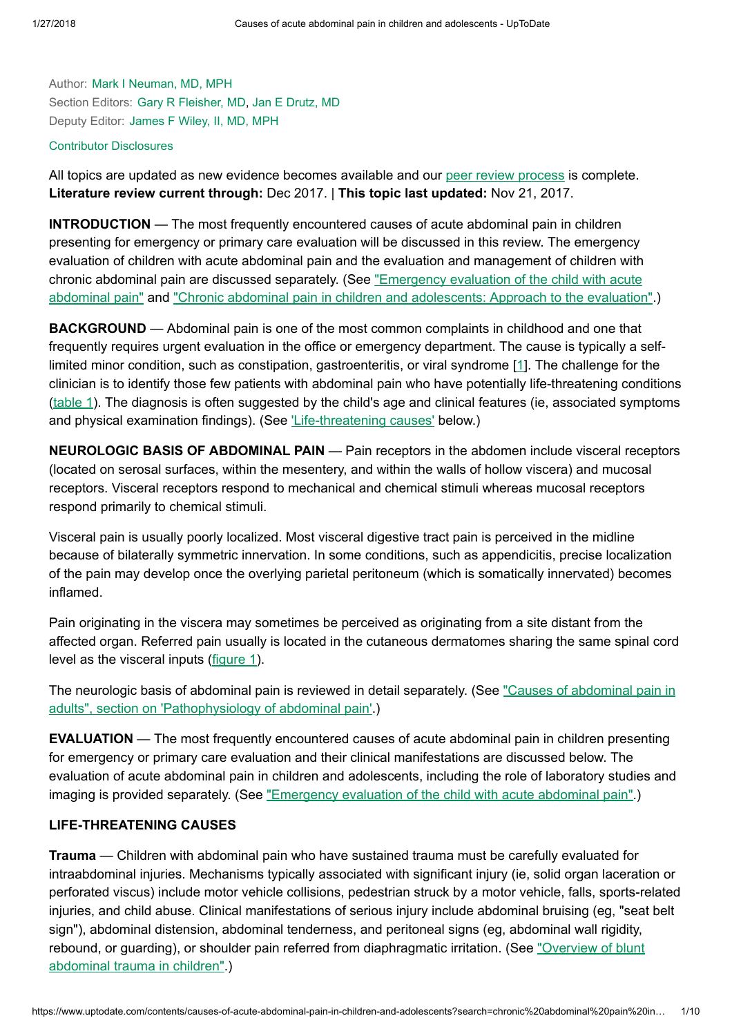Author: Mark I [Neuman,](https://www.uptodate.com/contents/causes-of-acute-abdominal-pain-in-children-and-adolescents/contributors) MD, MPH Section Editors: Gary R [Fleisher,](https://www.uptodate.com/contents/causes-of-acute-abdominal-pain-in-children-and-adolescents/contributors) MD, Jan E [Drutz,](https://www.uptodate.com/contents/causes-of-acute-abdominal-pain-in-children-and-adolescents/contributors) MD Deputy Editor: [James](https://www.uptodate.com/contents/causes-of-acute-abdominal-pain-in-children-and-adolescents/contributors) F Wiley, II, MD, MPH

#### Contributor [Disclosures](https://www.uptodate.com/contents/causes-of-acute-abdominal-pain-in-children-and-adolescents/contributor-disclosure)

All topics are updated as new evidence becomes available and our peer review [process](https://www.uptodate.com/home/editorial-policy) is complete. Literature review current through: Dec 2017. | This topic last updated: Nov 21, 2017.

INTRODUCTION — The most frequently encountered causes of acute abdominal pain in children presenting for emergency or primary care evaluation will be discussed in this review. The emergency evaluation of children with acute abdominal pain and the evaluation and management of children with chronic abdominal pain are discussed separately. (See "Emergency evaluation of the child with acute [abdominal pain"](https://www.uptodate.com/contents/emergency-evaluation-of-the-child-with-acute-abdominal-pain?source=see_link) and "Chronic [abdominal pain](https://www.uptodate.com/contents/chronic-abdominal-pain-in-children-and-adolescents-approach-to-the-evaluation?source=see_link) in children and adolescents: Approach to the evaluation".)

**BACKGROUND** — Abdominal pain is one of the most common complaints in childhood and one that frequently requires urgent evaluation in the office or emergency department. The cause is typically a selflimited minor condition, such as constipation, gastroenteritis, or viral syndrome [[1\]](https://www.uptodate.com/contents/causes-of-acute-abdominal-pain-in-children-and-adolescents/abstract/1). The challenge for the clinician is to identify those few patients with abdominal pain who have potentially life-threatening conditions [\(table](https://www.uptodate.com/contents/image?imageKey=EM%2F65488&topicKey=EM%2F6454&search=chronic+abdominal+pain+in+children&rank=3%7E150&source=see_link) 1). The diagnosis is often suggested by the child's age and clinical features (ie, associated symptoms and physical examination findings). (See *Life-threatening causes'* below.)

NEUROLOGIC BASIS OF ABDOMINAL PAIN — Pain receptors in the abdomen include visceral receptors (located on serosal surfaces, within the mesentery, and within the walls of hollow viscera) and mucosal receptors. Visceral receptors respond to mechanical and chemical stimuli whereas mucosal receptors respond primarily to chemical stimuli.

Visceral pain is usually poorly localized. Most visceral digestive tract pain is perceived in the midline because of bilaterally symmetric innervation. In some conditions, such as appendicitis, precise localization of the pain may develop once the overlying parietal peritoneum (which is somatically innervated) becomes inflamed.

Pain originating in the viscera may sometimes be perceived as originating from a site distant from the affected organ. Referred pain usually is located in the cutaneous dermatomes sharing the same spinal cord level as the visceral inputs [\(figure](https://www.uptodate.com/contents/image?imageKey=EM%2F115623&topicKey=EM%2F6454&search=chronic+abdominal+pain+in+children&rank=3%7E150&source=see_link) 1).

The neurologic basis of abdominal pain is reviewed in detail separately. (See "Causes of abdominal pain in adults", section on 'Pathophysiology of [abdominal pain'.\)](https://www.uptodate.com/contents/causes-of-abdominal-pain-in-adults?sectionName=PATHOPHYSIOLOGY+OF+ABDOMINAL+PAIN&anchor=H2&source=see_link#H2)

EVALUATION — The most frequently encountered causes of acute abdominal pain in children presenting for emergency or primary care evaluation and their clinical manifestations are discussed below. The evaluation of acute abdominal pain in children and adolescents, including the role of laboratory studies and imaging is provided separately. (See "Emergency evaluation of the child with acute [abdominal pain"](https://www.uptodate.com/contents/emergency-evaluation-of-the-child-with-acute-abdominal-pain?source=see_link).)

### LIFE-THREATENING CAUSES

**Trauma** — Children with abdominal pain who have sustained trauma must be carefully evaluated for intraabdominal injuries. Mechanisms typically associated with significant injury (ie, solid organ laceration or perforated viscus) include motor vehicle collisions, pedestrian struck by a motor vehicle, falls, sports-related injuries, and child abuse. Clinical manifestations of serious injury include abdominal bruising (eg, "seat belt sign"), abdominal distension, abdominal tenderness, and peritoneal signs (eg, abdominal wall rigidity, rebound, or guarding), or shoulder pain referred from diaphragmatic irritation. (See "Overview of blunt [abdominal trauma](https://www.uptodate.com/contents/overview-of-blunt-abdominal-trauma-in-children?source=see_link) in children".)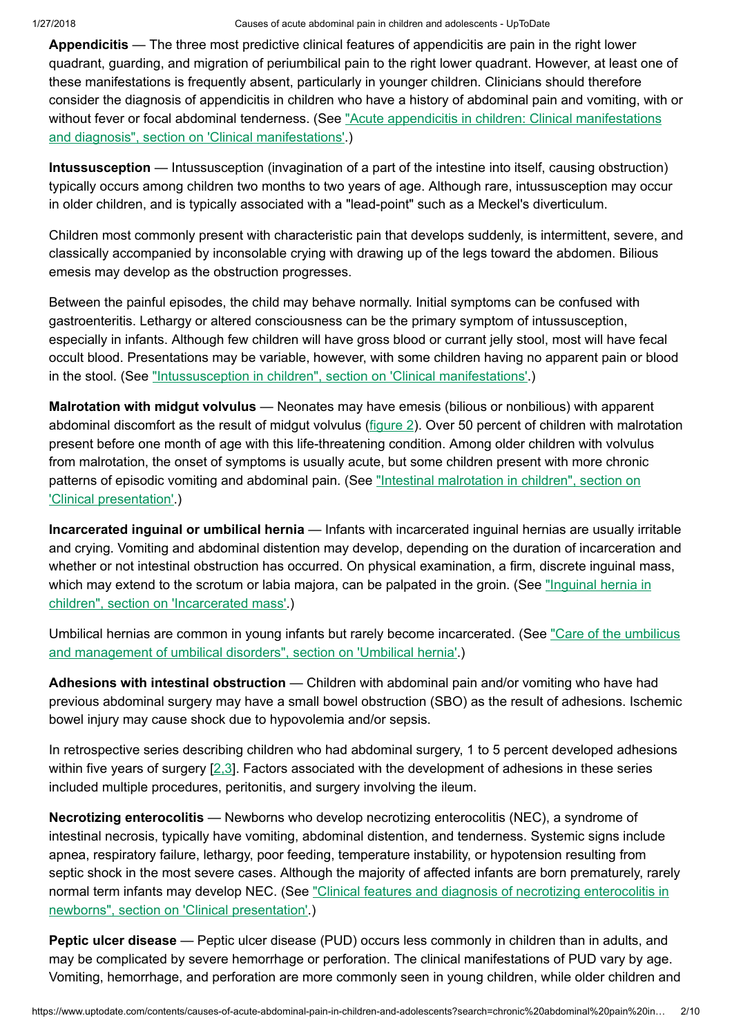Appendicitis — The three most predictive clinical features of appendicitis are pain in the right lower quadrant, guarding, and migration of periumbilical pain to the right lower quadrant. However, at least one of these manifestations is frequently absent, particularly in younger children. Clinicians should therefore consider the diagnosis of appendicitis in children who have a history of abdominal pain and vomiting, with or without fever or [focal abdominal tenderness.](https://www.uptodate.com/contents/acute-appendicitis-in-children-clinical-manifestations-and-diagnosis?sectionName=CLINICAL+MANIFESTATIONS&anchor=H5&source=see_link#H5) (See "Acute appendicitis in children: Clinical manifestations and diagnosis", section on 'Clinical manifestations'.)

Intussusception — Intussusception (invagination of a part of the intestine into itself, causing obstruction) typically occurs among children two months to two years of age. Although rare, intussusception may occur in older children, and is typically associated with a "lead-point" such as a Meckel's diverticulum.

Children most commonly present with characteristic pain that develops suddenly, is intermittent, severe, and classically accompanied by inconsolable crying with drawing up of the legs toward the abdomen. Bilious emesis may develop as the obstruction progresses.

Between the painful episodes, the child may behave normally. Initial symptoms can be confused with gastroenteritis. Lethargy or altered consciousness can be the primary symptom of intussusception, especially in infants. Although few children will have gross blood or currant jelly stool, most will have fecal occult blood. Presentations may be variable, however, with some children having no apparent pain or blood in the stool. (See "Intussusception in children", section on ['Clinical manifestations'.](https://www.uptodate.com/contents/intussusception-in-children?sectionName=CLINICAL+MANIFESTATIONS&anchor=H9&source=see_link#H9))

Malrotation with midgut volvulus — Neonates may have emesis (bilious or nonbilious) with apparent abdominal discomfort as the result of midgut volvulus ([figure](https://www.uptodate.com/contents/image?imageKey=PEDS%2F78111&topicKey=EM%2F6454&search=chronic+abdominal+pain+in+children&rank=3%7E150&source=see_link) 2). Over 50 percent of children with malrotation present before one month of age with this life-threatening condition. Among older children with volvulus from malrotation, the onset of symptoms is usually acute, but some children present with more chronic patterns of episodic vomiting and abdominal pain. (See "Intestinal malrotation in children", section on ['Clinical presentation'.\)](https://www.uptodate.com/contents/intestinal-malrotation-in-children?sectionName=CLINICAL+PRESENTATION&anchor=H6&source=see_link#H6)

Incarcerated inguinal or umbilical hernia — Infants with incarcerated inguinal hernias are usually irritable and crying. Vomiting and abdominal distention may develop, depending on the duration of incarceration and whether or not intestinal obstruction has occurred. On physical examination, a firm, discrete inguinal mass, which may extend to the scrotum or labia majora, can be palpated in the groin. (See ["Inguinal hernia](https://www.uptodate.com/contents/inguinal-hernia-in-children?sectionName=Incarcerated+mass&anchor=H18&source=see_link#H18) in children", section on 'Incarcerated mass'.)

Umbilical hernias are common in young infants but rarely become incarcerated. (See "Care of the umbilicus and management of [umbilical disorders",](https://www.uptodate.com/contents/care-of-the-umbilicus-and-management-of-umbilical-disorders?sectionName=UMBILICAL+HERNIA&anchor=H17&source=see_link#H17) section on 'Umbilical hernia'.)

Adhesions with intestinal obstruction — Children with abdominal pain and/or vomiting who have had previous abdominal surgery may have a small bowel obstruction (SBO) as the result of adhesions. Ischemic bowel injury may cause shock due to hypovolemia and/or sepsis.

In retrospective series describing children who had abdominal surgery, 1 to 5 percent developed adhesions within five years of surgery  $[2,3]$  $[2,3]$ . Factors associated with the development of adhesions in these series included multiple procedures, peritonitis, and surgery involving the ileum.

Necrotizing enterocolitis — Newborns who develop necrotizing enterocolitis (NEC), a syndrome of intestinal necrosis, typically have vomiting, abdominal distention, and tenderness. Systemic signs include apnea, respiratory failure, lethargy, poor feeding, temperature instability, or hypotension resulting from septic shock in the most severe cases. Although the majority of affected infants are born prematurely, rarely normal term infants may develop NEC. (See "Clinical features and diagnosis of necrotizing enterocolitis in newborns", section on ['Clinical presentation'.\)](https://www.uptodate.com/contents/clinical-features-and-diagnosis-of-necrotizing-enterocolitis-in-newborns?sectionName=CLINICAL+PRESENTATION&anchor=H4&source=see_link#H4)

Peptic ulcer disease — Peptic ulcer disease (PUD) occurs less commonly in children than in adults, and may be complicated by severe hemorrhage or perforation. The clinical manifestations of PUD vary by age. Vomiting, hemorrhage, and perforation are more commonly seen in young children, while older children and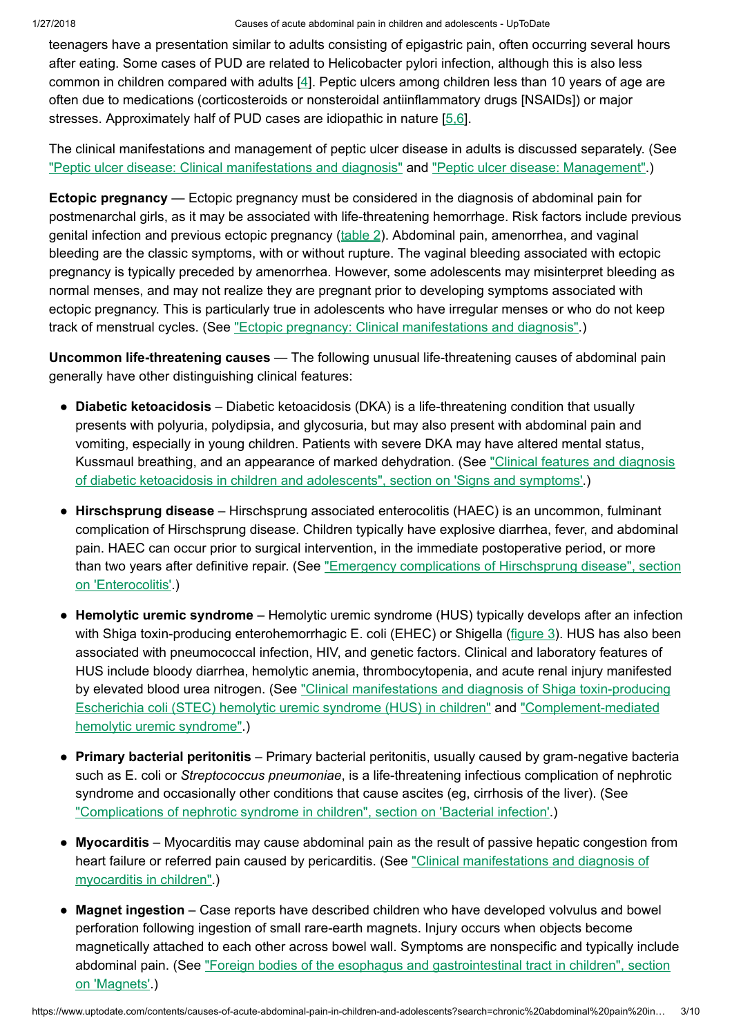teenagers have a presentation similar to adults consisting of epigastric pain, often occurring several hours after eating. Some cases of PUD are related to Helicobacter pylori infection, although this is also less common in children compared with adults [\[4](https://www.uptodate.com/contents/causes-of-acute-abdominal-pain-in-children-and-adolescents/abstract/4)]. Peptic ulcers among children less than 10 years of age are often due to medications (corticosteroids or nonsteroidal antiinflammatory drugs [NSAIDs]) or major stresses. Approximately half of PUD cases are idiopathic in nature [5.6].

The clinical manifestations and management of peptic ulcer disease in adults is discussed separately. (See "Peptic ulcer disease: [Clinical manifestations](https://www.uptodate.com/contents/peptic-ulcer-disease-clinical-manifestations-and-diagnosis?source=see_link) and diagnosis" and "Peptic ulcer disease: [Management".](https://www.uptodate.com/contents/peptic-ulcer-disease-management?source=see_link))

Ectopic pregnancy — Ectopic pregnancy must be considered in the diagnosis of abdominal pain for postmenarchal girls, as it may be associated with life-threatening hemorrhage. Risk factors include previous genital infection and previous ectopic pregnancy [\(table](https://www.uptodate.com/contents/image?imageKey=OBGYN%2F82282&topicKey=EM%2F6454&search=chronic+abdominal+pain+in+children&rank=3%7E150&source=see_link) 2). Abdominal pain, amenorrhea, and vaginal bleeding are the classic symptoms, with or without rupture. The vaginal bleeding associated with ectopic pregnancy is typically preceded by amenorrhea. However, some adolescents may misinterpret bleeding as normal menses, and may not realize they are pregnant prior to developing symptoms associated with ectopic pregnancy. This is particularly true in adolescents who have irregular menses or who do not keep track of menstrual cycles. (See "Ectopic pregnancy: [Clinical manifestations](https://www.uptodate.com/contents/ectopic-pregnancy-clinical-manifestations-and-diagnosis?source=see_link) and diagnosis".)

Uncommon life-threatening causes — The following unusual life-threatening causes of abdominal pain generally have other distinguishing clinical features:

- Diabetic ketoacidosis Diabetic ketoacidosis (DKA) is a life-threatening condition that usually presents with polyuria, polydipsia, and glycosuria, but may also present with abdominal pain and vomiting, especially in young children. Patients with severe DKA may have altered mental status, [Kussmaul breathing,](https://www.uptodate.com/contents/clinical-features-and-diagnosis-of-diabetic-ketoacidosis-in-children-and-adolescents?sectionName=Signs+and+symptoms&anchor=H9&source=see_link#H9) and an appearance of marked dehydration. (See "Clinical features and diagnosis of diabetic ketoacidosis in children and adolescents", section on 'Signs and symptoms'.)
- Hirschsprung disease Hirschsprung associated enterocolitis (HAEC) is an uncommon, fulminant complication of Hirschsprung disease. Children typically have explosive diarrhea, fever, and abdominal pain. HAEC can occur prior to surgical intervention, in the immediate postoperative period, or more than two years after definitive repair. (See "Emergency complications of Hirschsprung disease", section on ['Enterocolitis'.\)](https://www.uptodate.com/contents/emergency-complications-of-hirschsprung-disease?sectionName=ENTEROCOLITIS&anchor=H5&source=see_link#H5)
- Hemolytic uremic syndrome Hemolytic uremic syndrome (HUS) typically develops after an infection with Shiga toxin-producing enterohemorrhagic E. coli (EHEC) or Shigella [\(figure](https://www.uptodate.com/contents/image?imageKey=PEDS%2F75352&topicKey=EM%2F6454&search=chronic+abdominal+pain+in+children&rank=3%7E150&source=see_link) 3). HUS has also been associated with pneumococcal infection, HIV, and genetic factors. Clinical and laboratory features of HUS include bloody diarrhea, hemolytic anemia, thrombocytopenia, and acute renal injury manifested by elevated blood urea nitrogen. (See "Clinical manifestations and diagnosis of Shiga toxin-producing Escherichia coli (STEC) hemolytic uremic syndrome (HUS) in children" and ["Complement-mediate](https://www.uptodate.com/contents/complement-mediated-hemolytic-uremic-syndrome?source=see_link)[d](https://www.uptodate.com/contents/clinical-manifestations-and-diagnosis-of-shiga-toxin-producing-escherichia-coli-stec-hemolytic-uremic-syndrome-hus-in-children?source=see_link) hemolytic uremic syndrome".)
- Primary bacterial peritonitis Primary bacterial peritonitis, usually caused by gram-negative bacteria such as E. coli or Streptococcus pneumoniae, is a life-threatening infectious complication of nephrotic syndrome and occasionally other conditions that cause ascites (eg, cirrhosis of the liver). (See "Complications of nephrotic syndrome in children", section on ['Bacterial infection'.](https://www.uptodate.com/contents/complications-of-nephrotic-syndrome-in-children?sectionName=Bacterial+infection&anchor=H3&source=see_link#H3))
- Myocarditis Myocarditis may cause abdominal pain as the result of passive hepatic congestion from heart failure or referred pain caused by pericarditis. (See ["Clinical manifestations](https://www.uptodate.com/contents/clinical-manifestations-and-diagnosis-of-myocarditis-in-children?source=see_link) and diagnosis of myocarditis in children".)
- Magnet ingestion Case reports have described children who have developed volvulus and bowel perforation following ingestion of small rare-earth magnets. Injury occurs when objects become magnetically attached to each other across bowel wall. Symptoms are nonspecific and typically include abdominal pain. (See "Foreign bodies of the esophagus and [gastrointestinal tract](https://www.uptodate.com/contents/foreign-bodies-of-the-esophagus-and-gastrointestinal-tract-in-children?sectionName=Magnets&anchor=H20&source=see_link#H20) in children", section on 'Magnets'.)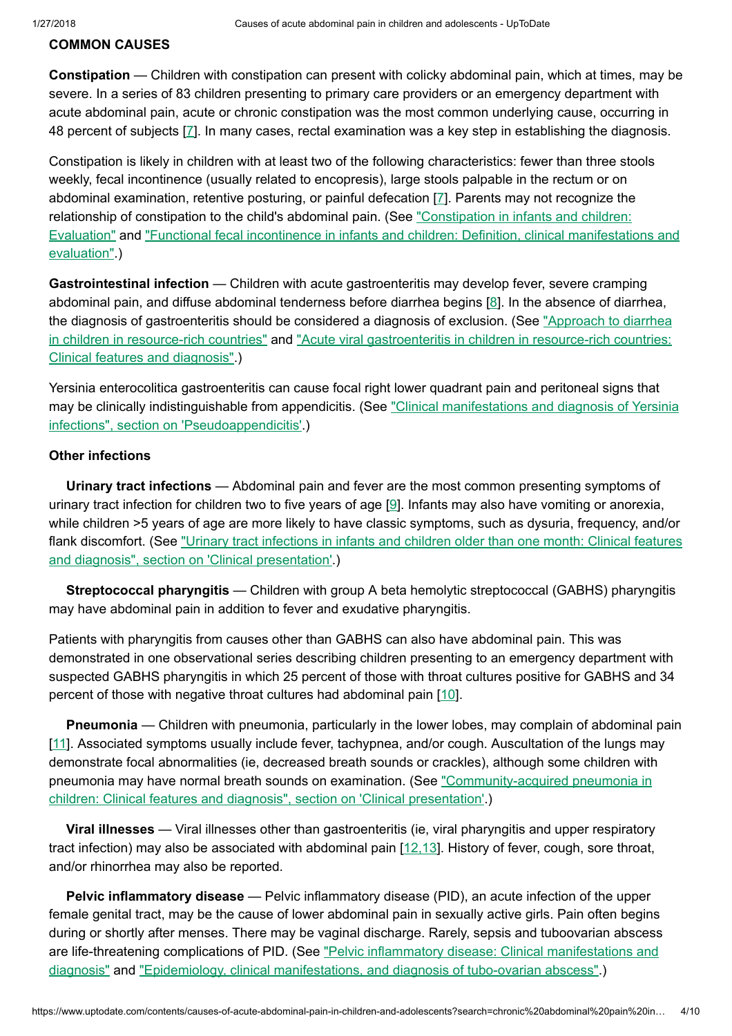### COMMON CAUSES

Constipation — Children with constipation can present with colicky abdominal pain, which at times, may be severe. In a series of 83 children presenting to primary care providers or an emergency department with acute abdominal pain, acute or chronic constipation was the most common underlying cause, occurring in 48 percent of subjects [\[7](https://www.uptodate.com/contents/causes-of-acute-abdominal-pain-in-children-and-adolescents/abstract/7)]. In many cases, rectal examination was a key step in establishing the diagnosis.

Constipation is likely in children with at least two of the following characteristics: fewer than three stools weekly, fecal incontinence (usually related to encopresis), large stools palpable in the rectum or on abdominal examination, retentive posturing, or painful defecation [\[7](https://www.uptodate.com/contents/causes-of-acute-abdominal-pain-in-children-and-adolescents/abstract/7)]. Parents may not recognize the relationship of constipation to the child's abdominal pain. (See "Constipation in infants and children: Evaluation" and ["Functional fecal incontinence](https://www.uptodate.com/contents/constipation-in-infants-and-children-evaluation?source=see_link) in infants and children: Definition, clinical manifestations and evaluation".)

Gastrointestinal infection - Children with acute gastroenteritis may develop fever, severe cramping abdominal pain, and diffuse abdominal tenderness before diarrhea begins [\[8](https://www.uptodate.com/contents/causes-of-acute-abdominal-pain-in-children-and-adolescents/abstract/8)]. In the absence of diarrhea, the diagnosis of gastroenteritis should be considered a diagnosis of exclusion. (See "Approach to diarrhea in children in resource-rich countries" and "Acute [viral gastroenteritis](https://www.uptodate.com/contents/approach-to-diarrhea-in-children-in-resource-rich-countries?source=see_link) in children in resource-rich countries: Clinical features and diagnosis".)

Yersinia enterocolitica gastroenteritis can cause focal right lower quadrant pain and peritoneal signs that may be clinically indistinguishable from appendicitis. (See ["Clinical manifestations](https://www.uptodate.com/contents/clinical-manifestations-and-diagnosis-of-yersinia-infections?sectionName=Pseudoappendicitis&anchor=H89479916&source=see_link#H89479916) and diagnosis of Yersinia infections", section on 'Pseudoappendicitis'.)

### Other infections

Urinary tract infections — Abdominal pain and fever are the most common presenting symptoms of urinary tract infection for children two to five years of age [\[9](https://www.uptodate.com/contents/causes-of-acute-abdominal-pain-in-children-and-adolescents/abstract/9)]. Infants may also have vomiting or anorexia, while children >5 years of age are more likely to have classic symptoms, such as dysuria, frequency, and/or flank discomfort. (See "Urinary tract infections in infants and children older than one month: Clinical features and diagnosis", section on ['Clinical presentation'.\)](https://www.uptodate.com/contents/urinary-tract-infections-in-infants-and-children-older-than-one-month-clinical-features-and-diagnosis?sectionName=CLINICAL+PRESENTATION&anchor=H2&source=see_link#H2)

Streptococcal pharyngitis — Children with group A beta hemolytic streptococcal (GABHS) pharyngitis may have abdominal pain in addition to fever and exudative pharyngitis.

Patients with pharyngitis from causes other than GABHS can also have abdominal pain. This was demonstrated in one observational series describing children presenting to an emergency department with suspected GABHS pharyngitis in which 25 percent of those with throat cultures positive for GABHS and 34 percent of those with negative throat cultures had abdominal pain [\[10](https://www.uptodate.com/contents/causes-of-acute-abdominal-pain-in-children-and-adolescents/abstract/10)].

Pneumonia — Children with pneumonia, particularly in the lower lobes, may complain of abdominal pain [[11](https://www.uptodate.com/contents/causes-of-acute-abdominal-pain-in-children-and-adolescents/abstract/11)]. Associated symptoms usually include fever, tachypnea, and/or cough. Auscultation of the lungs may demonstrate focal abnormalities (ie, decreased breath sounds or crackles), although some children with pneumonia may have normal breath sounds on examination. (See "Community-acquired pneumonia in children: Clinical features and diagnosis", section on ['Clinical presentation'.\)](https://www.uptodate.com/contents/community-acquired-pneumonia-in-children-clinical-features-and-diagnosis?sectionName=CLINICAL+PRESENTATION&anchor=H2&source=see_link#H2)

Viral illnesses — Viral illnesses other than gastroenteritis (ie, viral pharyngitis and upper respiratory tract infection) may also be associated with abdominal pain [\[12,13](https://www.uptodate.com/contents/causes-of-acute-abdominal-pain-in-children-and-adolescents/abstract/12,13)]. History of fever, cough, sore throat, and/or rhinorrhea may also be reported.

Pelvic inflammatory disease — Pelvic inflammatory disease (PID), an acute infection of the upper female genital tract, may be the cause of lower abdominal pain in sexually active girls. Pain often begins during or shortly after menses. There may be vaginal discharge. Rarely, sepsis and tuboovarian abscess are life-threatening complications of PID. (See "Pelvic inflammatory disease: [Clinical manifestations](https://www.uptodate.com/contents/pelvic-inflammatory-disease-clinical-manifestations-and-diagnosis?source=see_link) and diagnosis" and "Epidemiology, [clinical manifestations,](https://www.uptodate.com/contents/epidemiology-clinical-manifestations-and-diagnosis-of-tubo-ovarian-abscess?source=see_link) and diagnosis of tubo-ovarian abscess".)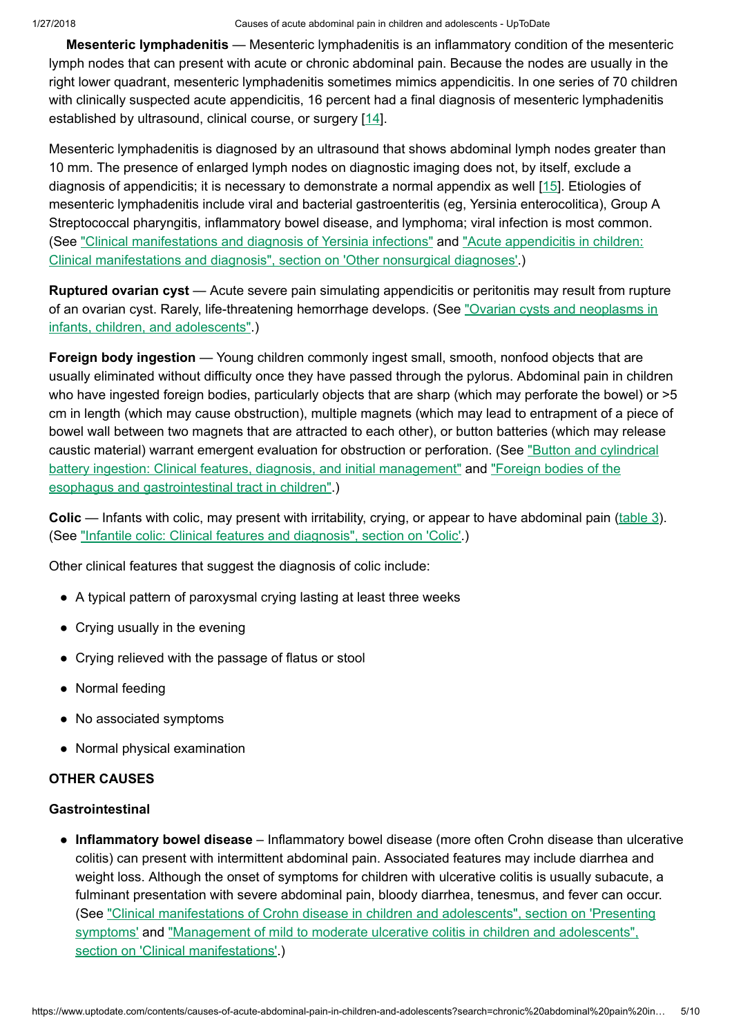Mesenteric lymphadenitis — Mesenteric lymphadenitis is an inflammatory condition of the mesenteric lymph nodes that can present with acute or chronic abdominal pain. Because the nodes are usually in the right lower quadrant, mesenteric lymphadenitis sometimes mimics appendicitis. In one series of 70 children with clinically suspected acute appendicitis, 16 percent had a final diagnosis of mesenteric lymphadenitis established by ultrasound, clinical course, or surgery [[14\]](https://www.uptodate.com/contents/causes-of-acute-abdominal-pain-in-children-and-adolescents/abstract/14).

Mesenteric lymphadenitis is diagnosed by an ultrasound that shows abdominal lymph nodes greater than 10 mm. The presence of enlarged lymph nodes on diagnostic imaging does not, by itself, exclude a diagnosis of appendicitis; it is necessary to demonstrate a normal appendix as well [[15](https://www.uptodate.com/contents/causes-of-acute-abdominal-pain-in-children-and-adolescents/abstract/15)]. Etiologies of mesenteric lymphadenitis include viral and bacterial gastroenteritis (eg, Yersinia enterocolitica), Group A Streptococcal pharyngitis, inflammatory bowel disease, and lymphoma; viral infection is most common. (See ["Clinical manifestations](https://www.uptodate.com/contents/clinical-manifestations-and-diagnosis-of-yersinia-infections?source=see_link) and diagnosis of Yersinia infections" and "Acute appendicitis in children: Clinical manifestations and diagnosis", section on 'Other [nonsurgical diagnoses'.\)](https://www.uptodate.com/contents/acute-appendicitis-in-children-clinical-manifestations-and-diagnosis?sectionName=Other+nonsurgical+diagnoses&anchor=H26&source=see_link#H26)

Ruptured ovarian cyst — Acute severe pain simulating appendicitis or peritonitis may result from rupture of an ovarian cyst. Rarely, [life-threatening](https://www.uptodate.com/contents/ovarian-cysts-and-neoplasms-in-infants-children-and-adolescents?source=see_link) hemorrhage develops. (See "Ovarian cysts and neoplasms in infants, children, and adolescents".)

Foreign body ingestion — Young children commonly ingest small, smooth, nonfood objects that are usually eliminated without difficulty once they have passed through the pylorus. Abdominal pain in children who have ingested foreign bodies, particularly objects that are sharp (which may perforate the bowel) or  $>5$ cm in length (which may cause obstruction), multiple magnets (which may lead to entrapment of a piece of bowel wall between two magnets that are attracted to each other), or button batteries (which may release caustic material) warrant emergent evaluation for obstruction or perforation. (See "Button and cylindrical battery ingestion: Clinical features, diagnosis, and [initial management"](https://www.uptodate.com/contents/button-and-cylindrical-battery-ingestion-clinical-features-diagnosis-and-initial-management?source=see_link) and "Foreign bodies of the esophagus and [gastrointestinal tract](https://www.uptodate.com/contents/foreign-bodies-of-the-esophagus-and-gastrointestinal-tract-in-children?source=see_link) in children".)

**Colic** — Infants with colic, may present with irritability, crying, or appear to have abdominal pain [\(table](https://www.uptodate.com/contents/image?imageKey=PEDS%2F78133&topicKey=EM%2F6454&search=chronic+abdominal+pain+in+children&rank=3%7E150&source=see_link)  $3$ ). (See "Infantile colic: [Clinical features](https://www.uptodate.com/contents/infantile-colic-clinical-features-and-diagnosis?sectionName=Colic&anchor=H4&source=see_link#H4) and diagnosis", section on 'Colic'.)

Other clinical features that suggest the diagnosis of colic include:

- A typical pattern of paroxysmal crying lasting at least three weeks
- Crying usually in the evening
- Crying relieved with the passage of flatus or stool
- Normal feeding
- No associated symptoms
- Normal physical examination

# OTHER CAUSES

# **Gastrointestinal**

• Inflammatory bowel disease - Inflammatory bowel disease (more often Crohn disease than ulcerative colitis) can present with intermittent abdominal pain. Associated features may include diarrhea and weight loss. Although the onset of symptoms for children with ulcerative colitis is usually subacute, a fulminant presentation with severe abdominal pain, bloody diarrhea, tenesmus, and fever can occur. (See ["Clinical manifestations](https://www.uptodate.com/contents/clinical-manifestations-of-crohn-disease-in-children-and-adolescents?sectionName=PRESENTING+SYMPTOMS&anchor=H2&source=see_link#H2) of Crohn disease in children and adolescents", section on 'Presenting symptoms' and "Management of mild to moderate ulcerative colitis in children and adolescents", section on ['Clinical manifestations'.\)](https://www.uptodate.com/contents/management-of-mild-to-moderate-ulcerative-colitis-in-children-and-adolescents?sectionName=CLINICAL+MANIFESTATIONS&anchor=H2&source=see_link#H2)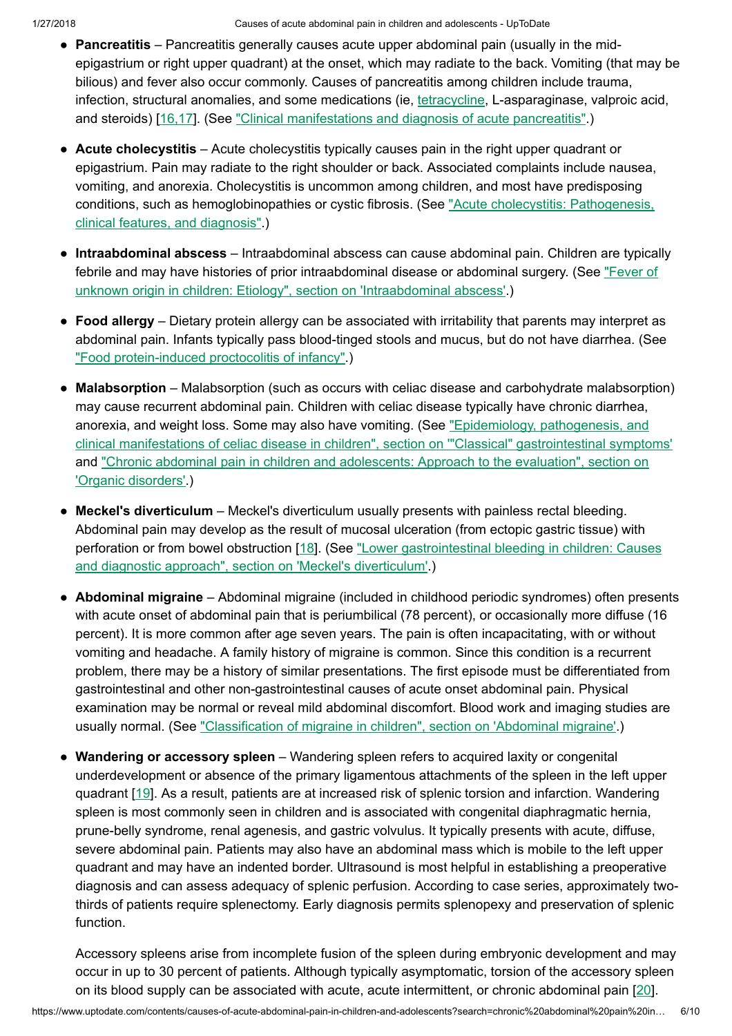- Pancreatitis Pancreatitis generally causes acute upper abdominal pain (usually in the midepigastrium or right upper quadrant) at the onset, which may radiate to the back. Vomiting (that may be bilious) and fever also occur commonly. Causes of pancreatitis among children include trauma, infection, structural anomalies, and some medications (ie, *[tetracycline](https://www.uptodate.com/contents/tetracycline-pediatric-drug-information?source=see_link)*, L-asparaginase, valproic acid, and steroids) [[16,17\]](https://www.uptodate.com/contents/causes-of-acute-abdominal-pain-in-children-and-adolescents/abstract/16,17). (See ["Clinical manifestations](https://www.uptodate.com/contents/clinical-manifestations-and-diagnosis-of-acute-pancreatitis?source=see_link) and diagnosis of acute pancreatitis".)
- Acute cholecystitis Acute cholecystitis typically causes pain in the right upper quadrant or epigastrium. Pain may radiate to the right shoulder or back. Associated complaints include nausea, vomiting, and anorexia. Cholecystitis is uncommon among children, and most have predisposing conditions, such as [hemoglobinopathies](https://www.uptodate.com/contents/acute-cholecystitis-pathogenesis-clinical-features-and-diagnosis?source=see_link) or cystic fibrosis. (See "Acute cholecystitis: Pathogenesis, clinical features, and diagnosis".)
- Intraabdominal abscess Intraabdominal abscess can cause abdominal pain. Children are typically febrile and may have histories of prior intraabdominal disease or abdominal surgery. (See "Fever of unknown origin in children: Etiology", section on ['Intraabdominal abscess'.\)](https://www.uptodate.com/contents/fever-of-unknown-origin-in-children-etiology?sectionName=Intraabdominal+abscess&anchor=H17&source=see_link#H17)
- Food allergy Dietary protein allergy can be associated with irritability that parents may interpret as abdominal pain. Infants typically pass blood-tinged stools and mucus, but do not have diarrhea. (See "Food [protein-induced](https://www.uptodate.com/contents/food-protein-induced-proctocolitis-of-infancy?source=see_link) proctocolitis of infancy".)
- Malabsorption Malabsorption (such as occurs with celiac disease and carbohydrate malabsorption) may cause recurrent abdominal pain. Children with celiac disease typically have chronic diarrhea, anorexia, and weight loss. Some may also have vomiting. (See "Epidemiology, pathogenesis, and clinical manifestations of celiac disease in children", section on '"Classical" [gastrointestinal symptoms'](https://www.uptodate.com/contents/epidemiology-pathogenesis-and-clinical-manifestations-of-celiac-disease-in-children?sectionName=%22Classical%22+gastrointestinal+symptoms&anchor=H15&source=see_link#H15) and "Chronic [abdominal pain](https://www.uptodate.com/contents/chronic-abdominal-pain-in-children-and-adolescents-approach-to-the-evaluation?sectionName=Organic+disorders&anchor=H11&source=see_link#H11) in children and adolescents: Approach to the evaluation", section on 'Organic disorders'.)
- Meckel's diverticulum Meckel's diverticulum usually presents with painless rectal bleeding. Abdominal pain may develop as the result of mucosal ulceration (from ectopic gastric tissue) with perforation or from bowel obstruction [[18\]](https://www.uptodate.com/contents/causes-of-acute-abdominal-pain-in-children-and-adolescents/abstract/18). (See "Lower [gastrointestinal bleeding](https://www.uptodate.com/contents/lower-gastrointestinal-bleeding-in-children-causes-and-diagnostic-approach?sectionName=Meckel%27s+diverticulum&anchor=H19&source=see_link#H19) in children: Causes and diagnostic approach", section on 'Meckel's diverticulum'.)
- Abdominal migraine Abdominal migraine (included in childhood periodic syndromes) often presents with acute onset of abdominal pain that is periumbilical (78 percent), or occasionally more diffuse (16 percent). It is more common after age seven years. The pain is often incapacitating, with or without vomiting and headache. A family history of migraine is common. Since this condition is a recurrent problem, there may be a history of similar presentations. The first episode must be differentiated from gastrointestinal and other non-gastrointestinal causes of acute onset abdominal pain. Physical examination may be normal or reveal mild abdominal discomfort. Blood work and imaging studies are usually normal. (See "Classification of migraine in children", section on ['Abdominal migraine'.](https://www.uptodate.com/contents/classification-of-migraine-in-children?sectionName=Abdominal+migraine&anchor=H12&source=see_link#H12))
- Wandering or accessory spleen Wandering spleen refers to acquired laxity or congenital underdevelopment or absence of the primary ligamentous attachments of the spleen in the left upper quadrant [\[19](https://www.uptodate.com/contents/causes-of-acute-abdominal-pain-in-children-and-adolescents/abstract/19)]. As a result, patients are at increased risk of splenic torsion and infarction. Wandering spleen is most commonly seen in children and is associated with congenital diaphragmatic hernia, prune-belly syndrome, renal agenesis, and gastric volvulus. It typically presents with acute, diffuse, severe abdominal pain. Patients may also have an abdominal mass which is mobile to the left upper quadrant and may have an indented border. Ultrasound is most helpful in establishing a preoperative diagnosis and can assess adequacy of splenic perfusion. According to case series, approximately twothirds of patients require splenectomy. Early diagnosis permits splenopexy and preservation of splenic function.

Accessory spleens arise from incomplete fusion of the spleen during embryonic development and may occur in up to 30 percent of patients. Although typically asymptomatic, torsion of the accessory spleen on its blood supply can be associated with acute, acute intermittent, or chronic abdominal pain [\[20](https://www.uptodate.com/contents/causes-of-acute-abdominal-pain-in-children-and-adolescents/abstract/20)].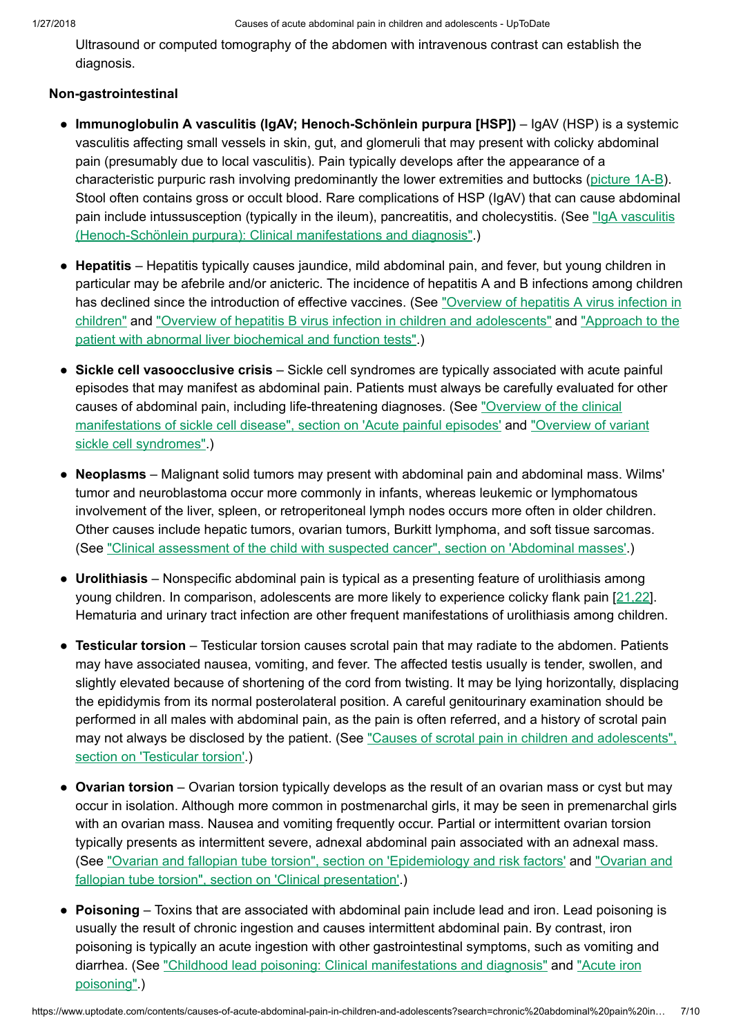Ultrasound or computed tomography of the abdomen with intravenous contrast can establish the diagnosis.

# Non-gastrointestinal

- Immunoglobulin A vasculitis (IgAV; Henoch-Schönlein purpura [HSP]) IgAV (HSP) is a systemic vasculitis affecting small vessels in skin, gut, and glomeruli that may present with colicky abdominal pain (presumably due to local vasculitis). Pain typically develops after the appearance of a characteristic purpuric rash involving predominantly the lower extremities and buttocks ([picture](https://www.uptodate.com/contents/image?imageKey=PEDS%2F63367%7EPEDS%2F72094&topicKey=EM%2F6454&search=chronic+abdominal+pain+in+children&rank=3%7E150&source=see_link)  $1A-B$ ). Stool often contains gross or occult blood. Rare complications of HSP (IgAV) that can cause abdominal pain include intussusception (typically in the ileum), pancreatitis, and cholecystitis. (See "IgA vasculitis (Henoch-Schönlein purpura): [Clinical manifestations](https://www.uptodate.com/contents/iga-vasculitis-henoch-schonlein-purpura-clinical-manifestations-and-diagnosis?source=see_link) and diagnosis".)
- Hepatitis Hepatitis typically causes jaundice, mild abdominal pain, and fever, but young children in particular may be afebrile and/or anicteric. The incidence of hepatitis A and B infections among children has declined since the introduction of effective vaccines. (See "Overview of hepatitis A virus infection in children" and "Overview of hepatitis B virus infection in children and [adolescents"](https://www.uptodate.com/contents/overview-of-hepatitis-a-virus-infection-in-children?source=see_link) and "Approach to the patient with abnormal liver [biochemical and](https://www.uptodate.com/contents/approach-to-the-patient-with-abnormal-liver-biochemical-and-function-tests?source=see_link) function tests".)
- Sickle cell vasoocclusive crisis Sickle cell syndromes are typically associated with acute painful episodes that may manifest as abdominal pain. Patients must always be carefully evaluated for other causes of abdominal pain, including life-threatening diagnoses. (See "Overview of the clinical manifestations of sickle cell disease", section on 'Acute [painful episodes'](https://www.uptodate.com/contents/overview-of-the-clinical-manifestations-of-sickle-cell-disease?sectionName=Acute+painful+episodes&anchor=H14&source=see_link#H14) and "Overview of variant sickle [cell syndromes".\)](https://www.uptodate.com/contents/overview-of-variant-sickle-cell-syndromes?source=see_link)
- Neoplasms Malignant solid tumors may present with abdominal pain and abdominal mass. Wilms' tumor and neuroblastoma occur more commonly in infants, whereas leukemic or lymphomatous involvement of the liver, spleen, or retroperitoneal lymph nodes occurs more often in older children. Other causes include hepatic tumors, ovarian tumors, Burkitt lymphoma, and soft tissue sarcomas. (See ["Clinical assessment](https://www.uptodate.com/contents/clinical-assessment-of-the-child-with-suspected-cancer?sectionName=Abdominal+masses&anchor=H17&source=see_link#H17) of the child with suspected cancer", section on 'Abdominal masses'.)
- Urolithiasis Nonspecific abdominal pain is typical as a presenting feature of urolithiasis among young children. In comparison, adolescents are more likely to experience colicky flank pain [\[21,22](https://www.uptodate.com/contents/causes-of-acute-abdominal-pain-in-children-and-adolescents/abstract/21,22)]. Hematuria and urinary tract infection are other frequent manifestations of urolithiasis among children.
- Testicular torsion Testicular torsion causes scrotal pain that may radiate to the abdomen. Patients may have associated nausea, vomiting, and fever. The affected testis usually is tender, swollen, and slightly elevated because of shortening of the cord from twisting. It may be lying horizontally, displacing the epididymis from its normal posterolateral position. A careful genitourinary examination should be performed in all males with abdominal pain, as the pain is often referred, and a history of scrotal pain may not always be disclosed by the patient. (See "Causes of scrotal pain in children and [adolescents",](https://www.uptodate.com/contents/causes-of-scrotal-pain-in-children-and-adolescents?sectionName=TESTICULAR+TORSION&anchor=H2&source=see_link#H2) section on 'Testicular torsion'.)
- Ovarian torsion Ovarian torsion typically develops as the result of an ovarian mass or cyst but may occur in isolation. Although more common in postmenarchal girls, it may be seen in premenarchal girls with an ovarian mass. Nausea and vomiting frequently occur. Partial or intermittent ovarian torsion typically presents as intermittent severe, adnexal abdominal pain associated with an adnexal mass. (See "Ovarian and fallopian tube torsion", section on ['Epidemiology](https://www.uptodate.com/contents/ovarian-and-fallopian-tube-torsion?sectionName=EPIDEMIOLOGY+AND+RISK+FACTORS&anchor=H4&source=see_link#H4) and risk factors' and "Ovarian and fallopian tube torsion", section on ['Clinical presentation'.\)](https://www.uptodate.com/contents/ovarian-and-fallopian-tube-torsion?sectionName=CLINICAL+PRESENTATION&anchor=H327710&source=see_link#H327710)
- Poisoning Toxins that are associated with abdominal pain include lead and iron. Lead poisoning is usually the result of chronic ingestion and causes intermittent abdominal pain. By contrast, iron poisoning is typically an acute ingestion with other gastrointestinal symptoms, such as vomiting and diarrhea. (See "Childhood lead poisoning: [Clinical manifestations](https://www.uptodate.com/contents/childhood-lead-poisoning-clinical-manifestations-and-diagnosis?source=see_link) and diagnosis" and "Acute iron poisoning".)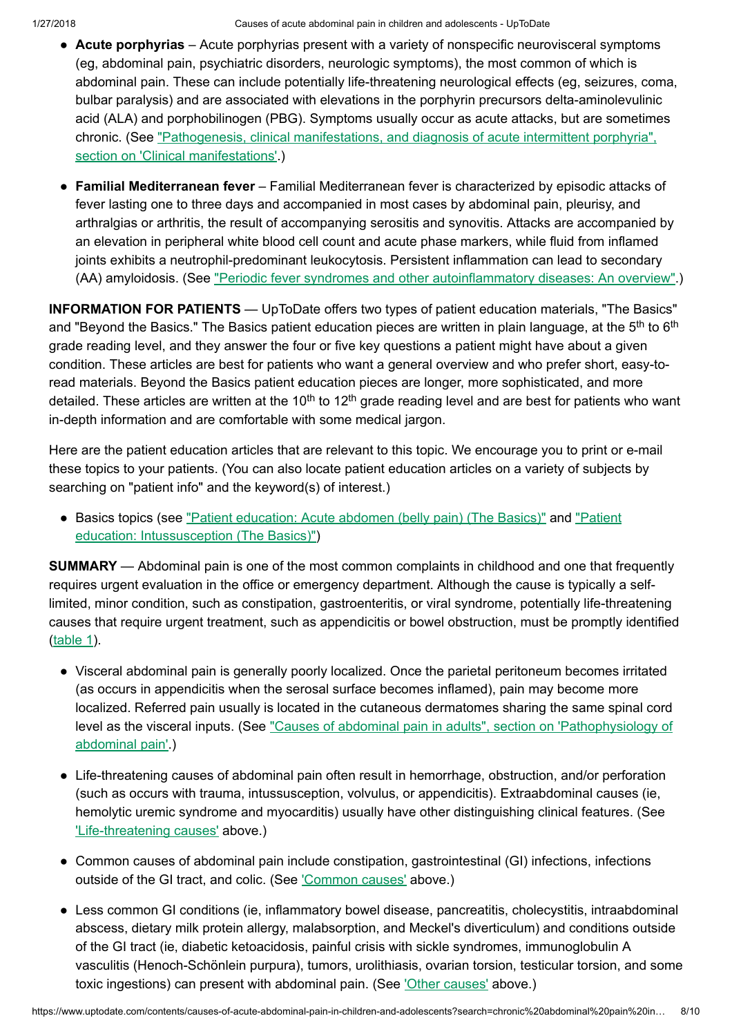- Acute porphyrias Acute porphyrias present with a variety of nonspecific neurovisceral symptoms (eg, abdominal pain, psychiatric disorders, neurologic symptoms), the most common of which is abdominal pain. These can include potentially life-threatening neurological effects (eg, seizures, coma, bulbar paralysis) and are associated with elevations in the porphyrin precursors delta-aminolevulinic acid (ALA) and porphobilinogen (PBG). Symptoms usually occur as acute attacks, but are sometimes chronic. (See "Pathogenesis, clinical manifestations, and diagnosis of acute intermittent porphyria", section on ['Clinical manifestations'.\)](https://www.uptodate.com/contents/pathogenesis-clinical-manifestations-and-diagnosis-of-acute-intermittent-porphyria?sectionName=CLINICAL+MANIFESTATIONS&anchor=H2&source=see_link#H2)
- Familial Mediterranean fever Familial Mediterranean fever is characterized by episodic attacks of fever lasting one to three days and accompanied in most cases by abdominal pain, pleurisy, and arthralgias or arthritis, the result of accompanying serositis and synovitis. Attacks are accompanied by an elevation in peripheral white blood cell count and acute phase markers, while fluid from inflamed joints exhibits a neutrophil-predominant leukocytosis. Persistent inflammation can lead to secondary (AA) amyloidosis. (See "Periodic fever syndromes and other [autoinflammatory](https://www.uptodate.com/contents/periodic-fever-syndromes-and-other-autoinflammatory-diseases-an-overview?source=see_link) diseases: An overview".)

INFORMATION FOR PATIENTS — UpToDate offers two types of patient education materials, "The Basics" and "Beyond the Basics." The Basics patient education pieces are written in plain language, at the 5<sup>th</sup> to 6<sup>th</sup> grade reading level, and they answer the four or five key questions a patient might have about a given condition. These articles are best for patients who want a general overview and who prefer short, easy-toread materials. Beyond the Basics patient education pieces are longer, more sophisticated, and more detailed. These articles are written at the 10<sup>th</sup> to 12<sup>th</sup> grade reading level and are best for patients who want in-depth information and are comfortable with some medical jargon.

Here are the patient education articles that are relevant to this topic. We encourage you to print or e-mail these topics to your patients. (You can also locate patient education articles on a variety of subjects by searching on "patient info" and the keyword(s) of interest.)

• Basics topics (see "Patient [education:](https://www.uptodate.com/contents/acute-abdomen-belly-pain-the-basics?source=see_link) Acute abdomen (belly pain) (The Basics)" and "Patient education: [Intussusception](https://www.uptodate.com/contents/intussusception-the-basics?source=see_link) (The Basics)")

**SUMMARY** — Abdominal pain is one of the most common complaints in childhood and one that frequently requires urgent evaluation in the office or emergency department. Although the cause is typically a selflimited, minor condition, such as constipation, gastroenteritis, or viral syndrome, potentially life-threatening causes that require urgent treatment, such as appendicitis or bowel obstruction, must be promptly identified [\(table](https://www.uptodate.com/contents/image?imageKey=EM%2F65488&topicKey=EM%2F6454&search=chronic+abdominal+pain+in+children&rank=3%7E150&source=see_link) 1).

- Visceral abdominal pain is generally poorly localized. Once the parietal peritoneum becomes irritated (as occurs in appendicitis when the serosal surface becomes inflamed), pain may become more localized. Referred pain usually is located in the cutaneous dermatomes sharing the same spinal cord level as the visceral inputs. (See "Causes of abdominal pain in adults", section on 'Pathophysiology of [abdominal pain'.\)](https://www.uptodate.com/contents/causes-of-abdominal-pain-in-adults?sectionName=PATHOPHYSIOLOGY+OF+ABDOMINAL+PAIN&anchor=H2&source=see_link#H2)
- Life-threatening causes of abdominal pain often result in hemorrhage, obstruction, and/or perforation (such as occurs with trauma, intussusception, volvulus, or appendicitis). Extraabdominal causes (ie, hemolytic uremic syndrome and myocarditis) usually have other distinguishing clinical features. (See ['Life-threatening](https://www.uptodate.com/contents/causes-of-acute-abdominal-pain-in-children-and-adolescents?search=chronic%20abdominal%20pain%20in%20children&source=search_result&selectedTitle=3~150&usage_type=default&display_rank=3#H3) causes' above.)
- Common causes of abdominal pain include constipation, gastrointestinal (GI) infections, infections outside of the GI tract, and colic. (See ['Common](https://www.uptodate.com/contents/causes-of-acute-abdominal-pain-in-children-and-adolescents?search=chronic%20abdominal%20pain%20in%20children&source=search_result&selectedTitle=3~150&usage_type=default&display_rank=3#H14) causes' above.)
- Less common GI conditions (ie, inflammatory bowel disease, pancreatitis, cholecystitis, intraabdominal ●abscess, dietary milk protein allergy, malabsorption, and Meckel's diverticulum) and conditions outside of the GI tract (ie, diabetic ketoacidosis, painful crisis with sickle syndromes, immunoglobulin A vasculitis (Henoch-Schönlein purpura), tumors, urolithiasis, ovarian torsion, testicular torsion, and some toxic ingestions) can present with abdominal pain. (See 'Other [causes'](https://www.uptodate.com/contents/causes-of-acute-abdominal-pain-in-children-and-adolescents?search=chronic%20abdominal%20pain%20in%20children&source=search_result&selectedTitle=3~150&usage_type=default&display_rank=3#H27) above.)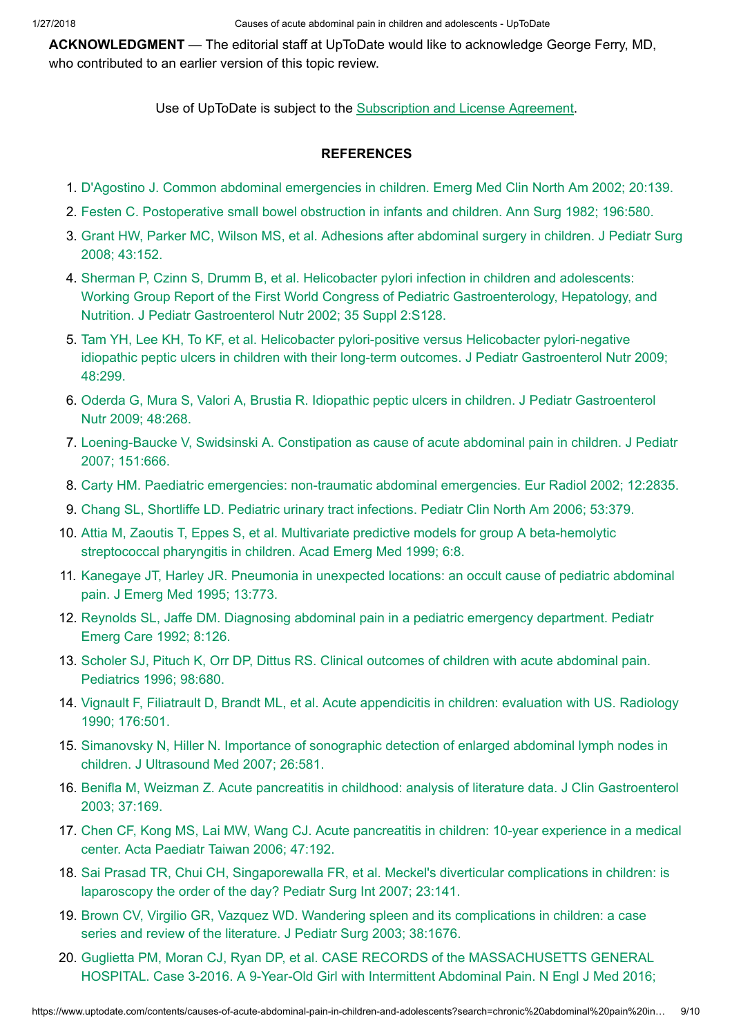ACKNOWLEDGMENT — The editorial staff at UpToDate would like to acknowledge George Ferry, MD, who contributed to an earlier version of this topic review.

Use of UpToDate is subject to the **[Subscription](https://www.uptodate.com/legal/license) and License Agreement**.

### **REFERENCES**

- 1. D'Agostino J. Common [abdominal emergencies](https://www.uptodate.com/contents/causes-of-acute-abdominal-pain-in-children-and-adolescents/abstract/1) in children. Emerg Med Clin North Am 2002; 20:139.
- 2. Festen C. Postoperative [small bowel obstruction](https://www.uptodate.com/contents/causes-of-acute-abdominal-pain-in-children-and-adolescents/abstract/2) in infants and children. Ann Surg 1982; 196:580.
- 3. Grant HW, Parker MC, Wilson MS, et al. Adhesions after [abdominal surgery](https://www.uptodate.com/contents/causes-of-acute-abdominal-pain-in-children-and-adolescents/abstract/3) in children. J Pediatr Surg 2008; 43:152.
- 4. Sherman P, Czinn S, Drumm B, et al. Helicobacter pylori infection in children and adolescents: Working Group Report of the First World Congress of Pediatric Gastroenterology, Hepatology, and Nutrition. J Pediatr [Gastroenterol Nutr](https://www.uptodate.com/contents/causes-of-acute-abdominal-pain-in-children-and-adolescents/abstract/4) 2002; 35 Suppl 2:S128.
- 5. Tam YH, Lee KH, To KF, et al. Helicobacter pylori-positive versus Helicobacter pylori-negative idiopathic peptic ulcers in children with their long-term outcomes. J Pediatr [Gastroenterol Nutr](https://www.uptodate.com/contents/causes-of-acute-abdominal-pain-in-children-and-adolescents/abstract/5) 2009; 48:299.
- 6. Oderda G, Mura S, Valori A, Brustia R. Idiopathic peptic ulcers in children. J Pediatr [Gastroenterol](https://www.uptodate.com/contents/causes-of-acute-abdominal-pain-in-children-and-adolescents/abstract/6) Nutr 2009; 48:268.
- 7. [Loening-Baucke](https://www.uptodate.com/contents/causes-of-acute-abdominal-pain-in-children-and-adolescents/abstract/7) V, Swidsinski A. Constipation as cause of acute abdominal pain in children. J Pediatr 2007; 151:666.
- 8. Carty HM. Paediatric emergencies: non-traumatic [abdominal emergencies.](https://www.uptodate.com/contents/causes-of-acute-abdominal-pain-in-children-and-adolescents/abstract/8) Eur Radiol 2002; 12:2835.
- 9. Chang SL, Shortliffe LD. Pediatric urinary tract [infections.](https://www.uptodate.com/contents/causes-of-acute-abdominal-pain-in-children-and-adolescents/abstract/9) Pediatr Clin North Am 2006; 53:379.
- 10. Attia M, Zaoutis T, Eppes S, et al. Multivariate predictive models for group A beta-hemolytic [streptococcal pharyngitis](https://www.uptodate.com/contents/causes-of-acute-abdominal-pain-in-children-and-adolescents/abstract/10) in children. Acad Emerg Med 1999; 6:8.
- 11. Kanegaye JT, Harley JR. Pneumonia in [unexpected](https://www.uptodate.com/contents/causes-of-acute-abdominal-pain-in-children-and-adolescents/abstract/11) locations: an occult cause of pediatric abdominal pain. J Emerg Med 1995; 13:773.
- 12. Reynolds SL, Jaffe DM. Diagnosing [abdominal pain](https://www.uptodate.com/contents/causes-of-acute-abdominal-pain-in-children-and-adolescents/abstract/12) in a pediatric emergency department. Pediatr Emerg Care 1992; 8:126.
- 13. Scholer SJ, Pituch K, Orr DP, Dittus RS. [Clinical outcomes](https://www.uptodate.com/contents/causes-of-acute-abdominal-pain-in-children-and-adolescents/abstract/13) of children with acute abdominal pain. Pediatrics 1996; 98:680.
- 14. Vignault F, Filiatrault D, Brandt ML, et al. Acute [appendicitis](https://www.uptodate.com/contents/causes-of-acute-abdominal-pain-in-children-and-adolescents/abstract/14) in children: evaluation with US. Radiology 1990; 176:501.
- 15. Simanovsky N, Hiller N. Importance of sonographic detection of enlarged [abdominal lymph](https://www.uptodate.com/contents/causes-of-acute-abdominal-pain-in-children-and-adolescents/abstract/15) nodes in children. J Ultrasound Med 2007; 26:581.
- 16. Benifla M, Weizman Z. Acute pancreatitis in childhood: analysis of literature data. J Clin [Gastroenterol](https://www.uptodate.com/contents/causes-of-acute-abdominal-pain-in-children-and-adolescents/abstract/16) 2003; 37:169.
- 17. Chen CF, Kong MS, Lai MW, Wang CJ. Acute [pancreatitis](https://www.uptodate.com/contents/causes-of-acute-abdominal-pain-in-children-and-adolescents/abstract/17) in children: 10-year experience in a medical center. Acta Paediatr Taiwan 2006; 47:192.
- 18. Sai Prasad TR, Chui CH, [Singaporewalla](https://www.uptodate.com/contents/causes-of-acute-abdominal-pain-in-children-and-adolescents/abstract/18) FR, et al. Meckel's diverticular complications in children: is laparoscopy the order of the day? Pediatr Surg Int 2007; 23:141.
- 19. Brown CV, Virgilio GR, Vazquez WD. Wandering spleen and its [complications](https://www.uptodate.com/contents/causes-of-acute-abdominal-pain-in-children-and-adolescents/abstract/19) in children: a case series and review of the literature. J Pediatr Surg 2003; 38:1676.
- 20. Guglietta PM, Moran CJ, Ryan DP, et al. CASE RECORDS of the [MASSACHUSETTS](https://www.uptodate.com/contents/causes-of-acute-abdominal-pain-in-children-and-adolescents/abstract/20) GENERAL HOSPITAL. Case 3-2016. A 9-Year-Old Girl with Intermittent Abdominal Pain. N Engl J Med 2016;